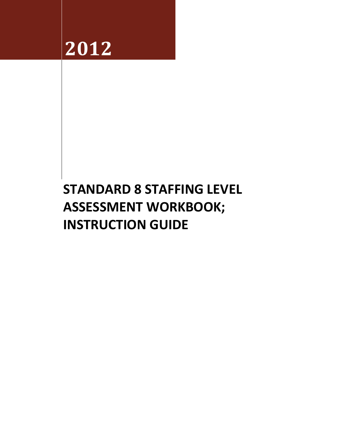

# **STANDARD 8 STAFFING LEVEL ASSESSMENT WORKBOOK; INSTRUCTION GUIDE**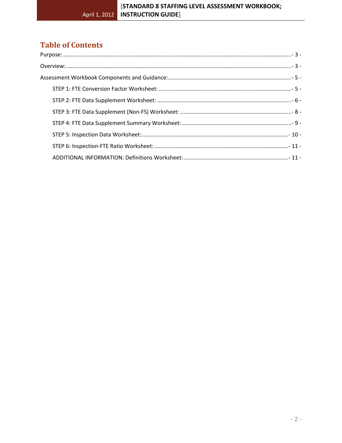# **Table of Contents**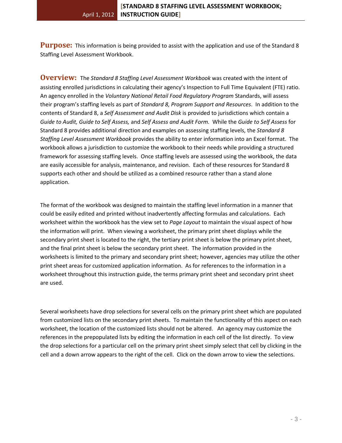<span id="page-2-0"></span>**Purpose:** This information is being provided to assist with the application and use of the Standard 8 Staffing Level Assessment Workbook.

<span id="page-2-1"></span>**Overview:** The *Standard 8 Staffing Level Assessment Workbook* was created with the intent of assisting enrolled jurisdictions in calculating their agency's Inspection to Full Time Equivalent (FTE) ratio. An agency enrolled in the *Voluntary National Retail Food Regulatory Program* Standards, will assess their program's staffing levels as part of *Standard 8, Program Support and Resources*. In addition to the contents of Standard 8, a *Self Assessment and Audit Disk* is provided to jurisdictions which contain a *Guide to Audit, Guide to Self Assess,* and *Self Assess and Audit Form.* While the *Guide to Self Assess* for Standard 8 provides additional direction and examples on assessing staffing levels, the *Standard 8 Staffing Level Assessment Workbook* provides the ability to enter information into an Excel format. The workbook allows a jurisdiction to customize the workbook to their needs while providing a structured framework for assessing staffing levels. Once staffing levels are assessed using the workbook, the data are easily accessible for analysis, maintenance, and revision. Each of these resources for Standard 8 supports each other and should be utilized as a combined resource rather than a stand alone application.

The format of the workbook was designed to maintain the staffing level information in a manner that could be easily edited and printed without inadvertently affecting formulas and calculations. Each worksheet within the workbook has the view set to *Page Layout* to maintain the visual aspect of how the information will print. When viewing a worksheet, the primary print sheet displays while the secondary print sheet is located to the right, the tertiary print sheet is below the primary print sheet, and the final print sheet is below the secondary print sheet. The information provided in the worksheets is limited to the primary and secondary print sheet; however, agencies may utilize the other print sheet areas for customized application information. As for references to the information in a worksheet throughout this instruction guide, the terms primary print sheet and secondary print sheet are used.

Several worksheets have drop selections for several cells on the primary print sheet which are populated from customized lists on the secondary print sheets. To maintain the functionality of this aspect on each worksheet, the location of the customized lists should not be altered. An agency may customize the references in the prepopulated lists by editing the information in each cell of the list directly. To view the drop selections for a particular cell on the primary print sheet simply select that cell by clicking in the cell and a down arrow appears to the right of the cell. Click on the down arrow to view the selections.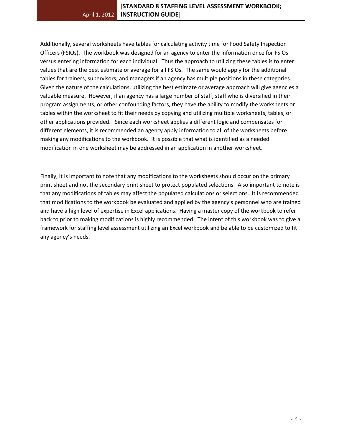Additionally, several worksheets have tables for calculating activity time for Food Safety Inspection Officers (FSIOs). The workbook was designed for an agency to enter the information once for FSIOs versus entering information for each individual. Thus the approach to utilizing these tables is to enter values that are the best estimate or average for all FSIOs. The same would apply for the additional tables for trainers, supervisors, and managers if an agency has multiple positions in these categories. Given the nature of the calculations, utilizing the best estimate or average approach will give agencies a valuable measure. However, if an agency has a large number of staff, staff who is diversified in their program assignments, or other confounding factors, they have the ability to modify the worksheets or tables within the worksheet to fit their needs by copying and utilizing multiple worksheets, tables, or other applications provided. Since each worksheet applies a different logic and compensates for different elements, it is recommended an agency apply information to all of the worksheets before making any modifications to the workbook. It is possible that what is identified as a needed modification in one worksheet may be addressed in an application in another worksheet.

Finally, it is important to note that any modifications to the worksheets should occur on the primary print sheet and not the secondary print sheet to protect populated selections. Also important to note is that any modifications of tables may affect the populated calculations or selections. It is recommended that modifications to the workbook be evaluated and applied by the agency's personnel who are trained and have a high level of expertise in Excel applications. Having a master copy of the workbook to refer back to prior to making modifications is highly recommended. The intent of this workbook was to give a framework for staffing level assessment utilizing an Excel workbook and be able to be customized to fit any agency's needs.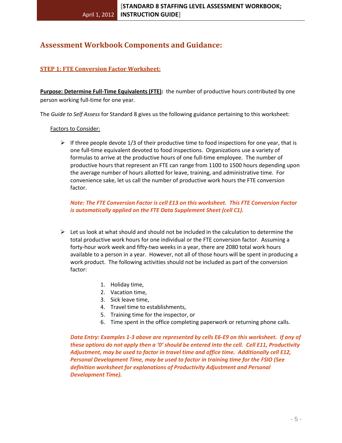# <span id="page-4-0"></span>**Assessment Workbook Components and Guidance:**

# <span id="page-4-1"></span>**STEP 1: FTE Conversion Factor Worksheet:**

**Purpose: Determine Full-Time Equivalents (FTE):** the number of productive hours contributed by one person working full-time for one year.

The *Guide to Self Assess* for Standard 8 gives us the following guidance pertaining to this worksheet:

#### Factors to Consider:

 $\triangleright$  If three people devote 1/3 of their productive time to food inspections for one year, that is one full-time equivalent devoted to food inspections. Organizations use a variety of formulas to arrive at the productive hours of one full-time employee. The number of productive hours that represent an FTE can range from 1100 to 1500 hours depending upon the average number of hours allotted for leave, training, and administrative time. For convenience sake, let us call the number of productive work hours the FTE conversion factor.

*Note: The FTE Conversion Factor is cell E13 on this worksheet. This FTE Conversion Factor is automatically applied on the FTE Data Supplement Sheet (cell C1).*

- $\triangleright$  Let us look at what should and should not be included in the calculation to determine the total productive work hours for one individual or the FTE conversion factor. Assuming a forty-hour work week and fifty-two weeks in a year, there are 2080 total work hours available to a person in a year. However, not all of those hours will be spent in producing a work product. The following activities should not be included as part of the conversion factor:
	- 1. Holiday time,
	- 2. Vacation time,
	- 3. Sick leave time,
	- 4. Travel time to establishments,
	- 5. Training time for the inspector, or
	- 6. Time spent in the office completing paperwork or returning phone calls.

*Data Entry: Examples 1-3 above are represented by cells E6-E9 on this worksheet. If any of these options do not apply then a '0' should be entered into the cell. Cell E11, Productivity Adjustment, may be used to factor in travel time and office time. Additionally cell E12, Personal Development Time, may be used to factor in training time for the FSIO (See definition worksheet for explanations of Productivity Adjustment and Personal Development Time).*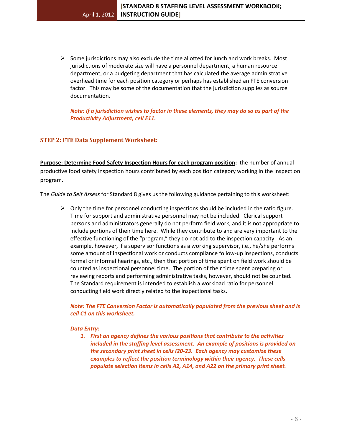$\triangleright$  Some jurisdictions may also exclude the time allotted for lunch and work breaks. Most jurisdictions of moderate size will have a personnel department, a human resource department, or a budgeting department that has calculated the average administrative overhead time for each position category or perhaps has established an FTE conversion factor. This may be some of the documentation that the jurisdiction supplies as source documentation.

*Note: If a jurisdiction wishes to factor in these elements, they may do so as part of the Productivity Adjustment, cell E11.* 

# <span id="page-5-0"></span>**STEP 2: FTE Data Supplement Worksheet:**

**Purpose: Determine Food Safety Inspection Hours for each program position:** the number of annual productive food safety inspection hours contributed by each position category working in the inspection program.

The *Guide to Self Assess* for Standard 8 gives us the following guidance pertaining to this worksheet:

 $\triangleright$  Only the time for personnel conducting inspections should be included in the ratio figure. Time for support and administrative personnel may not be included. Clerical support persons and administrators generally do not perform field work, and it is not appropriate to include portions of their time here. While they contribute to and are very important to the effective functioning of the "program," they do not add to the inspection capacity. As an example, however, if a supervisor functions as a working supervisor, i.e., he/she performs some amount of inspectional work or conducts compliance follow-up inspections, conducts formal or informal hearings, etc., then that portion of time spent on field work should be counted as inspectional personnel time. The portion of their time spent preparing or reviewing reports and performing administrative tasks, however, should not be counted. The Standard requirement is intended to establish a workload ratio for personnel conducting field work directly related to the inspectional tasks.

*Note: The FTE Conversion Factor is automatically populated from the previous sheet and is cell C1 on this worksheet.*

## *Data Entry:*

*1. First an agency defines the various positions that contribute to the activities included in the staffing level assessment. An example of positions is provided on the secondary print sheet in cells I20-23. Each agency may customize these examples to reflect the position terminology within their agency. These cells populate selection items in cells A2, A14, and A22 on the primary print sheet.*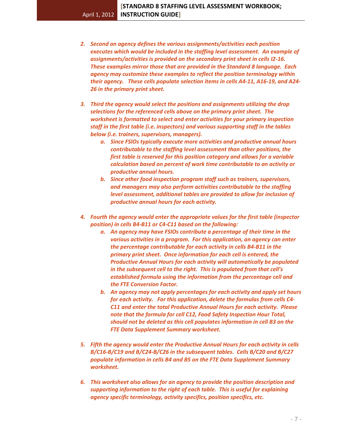- *2. Second an agency defines the various assignments/activities each position executes which would be included in the staffing level assessment. An example of assignments/activities is provided on the secondary print sheet in cells I2-16. These examples mirror those that are provided in the Standard 8 language. Each agency may customize these examples to reflect the position terminology within their agency. These cells populate selection items in cells A4-11, A16-19, and A24- 26 in the primary print sheet.*
- *3. Third the agency would select the positions and assignments utilizing the drop selections for the referenced cells above on the primary print sheet. The worksheet is formatted to select and enter activities for your primary inspection staff in the first table (i.e. inspectors) and various supporting staff in the tables below (i.e. trainers, supervisors, managers).* 
	- *a. Since FSIOs typically execute more activities and productive annual hours contributable to the staffing level assessment than other positions, the first table is reserved for this position category and allows for a variable calculation based on percent of work time contributable to an activity or productive annual hours.*
	- *b. Since other food inspection program staff such as trainers, supervisors, and managers may also perform activities contributable to the staffing level assessment, additional tables are provided to allow for inclusion of productive annual hours for each activity.*
- *4. Fourth the agency would enter the appropriate values for the first table (inspector position) in cells B4-B11 or C4-C11 based on the following:*
	- *a. An agency may have FSIOs contribute a percentage of their time in the various activities in a program. For this application, an agency can enter the percentage contributable for each activity in cells B4-B11 in the primary print sheet. Once information for each cell is entered, the Productive Annual Hours for each activity will automatically be populated in the subsequent cell to the right. This is populated from that cell's established formula using the information from the percentage cell and the FTE Conversion Factor.*
	- *b. An agency may not apply percentages for each activity and apply set hours for each activity. For this application, delete the formulas from cells C4- C11 and enter the total Productive Annual Hours for each activity. Please note that the formula for cell C12, Food Safety Inspection Hour Total, should not be deleted as this cell populates information in cell B3 on the FTE Data Supplement Summary worksheet.*
- *5. Fifth the agency would enter the Productive Annual Hours for each activity in cells B/C16-B/C19 and B/C24-B/C26 in the subsequent tables. Cells B/C20 and B/C27 populate information in cells B4 and B5 on the FTE Data Supplement Summary worksheet.*
- *6. This worksheet also allows for an agency to provide the position description and supporting information to the right of each table. This is useful for explaining agency specific terminology, activity specifics, position specifics, etc.*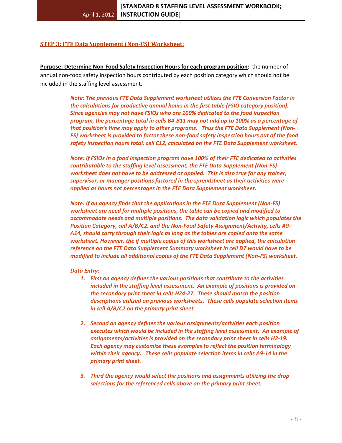#### <span id="page-7-0"></span>**STEP 3: FTE Data Supplement (Non-FS) Worksheet:**

**Purpose: Determine Non-Food Safety Inspection Hours for each program position:** the number of annual non-food safety inspection hours contributed by each position category which should not be included in the staffing level assessment.

> *Note: The previous FTE Data Supplement worksheet utilizes the FTE Conversion Factor in the calculations for productive annual hours in the first table (FSIO category position). Since agencies may not have FSIOs who are 100% dedicated to the food inspection program, the percentage total in cells B4-B11 may not add up to 100% as a percentage of that position's time may apply to other programs. Thus the FTE Data Supplement (Non-FS) worksheet is provided to factor these non-food safety inspection hours out of the food safety inspection hours total, cell C12, calculated on the FTE Data Supplement worksheet.*

> *Note: If FSIOs in a food inspection program have 100% of their FTE dedicated to activities contributable to the staffing level assessment, the FTE Data Supplement (Non-FS) worksheet does not have to be addressed or applied. This is also true for any trainer, supervisor, or manager positions factored in the spreadsheet as their activities were applied as hours not percentages in the FTE Data Supplement worksheet.*

*Note: If an agency finds that the applications in the FTE Data Supplement (Non-FS) worksheet are need for multiple positions, the table can be copied and modified to accommodate needs and multiple positions. The data validation logic which populates the Position Category, cell A/B/C2, and the Non-Food Safety Assignment/Activity, cells A9- A14, should carry through their logic as long as the tables are copied onto the same worksheet. However, the if multiple copies of this worksheet are applied, the calculation reference on the FTE Data Supplement Summary worksheet in cell D7 would have to be modified to include all additional copies of the FTE Data Supplement (Non-FS) worksheet.*

#### *Data Entry:*

- *1. First an agency defines the various positions that contribute to the activities included in the staffing level assessment. An example of positions is provided on the secondary print sheet in cells H24-27. These should match the position descriptions utilized on previous worksheets. These cells populate selection items in cell A/B/C2 on the primary print sheet.*
- *2. Second an agency defines the various assignments/activities each position executes which would be included in the staffing level assessment. An example of assignments/activities is provided on the secondary print sheet in cells H2-19. Each agency may customize these examples to reflect the position terminology within their agency. These cells populate selection items in cells A9-14 in the primary print sheet.*
- *3. Third the agency would select the positions and assignments utilizing the drop selections for the referenced cells above on the primary print sheet.*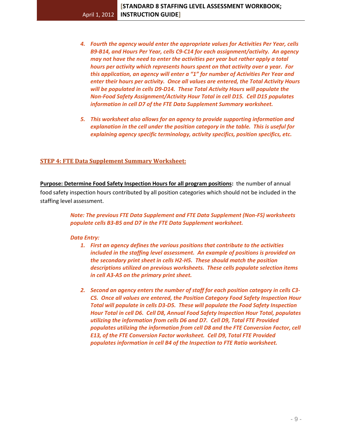- *4. Fourth the agency would enter the appropriate values for Activities Per Year, cells B9-B14, and Hours Per Year, cells C9-C14 for each assignment/activity. An agency may not have the need to enter the activities per year but rather apply a total hours per activity which represents hours spent on that activity over a year. For this application, an agency will enter a "1" for number of Activities Per Year and enter their hours per activity. Once all values are entered, the Total Activity Hours will be populated in cells D9-D14. These Total Activity Hours will populate the Non-Food Safety Assignment/Activity Hour Total in cell D15. Cell D15 populates information in cell D7 of the FTE Data Supplement Summary worksheet.*
- *5. This worksheet also allows for an agency to provide supporting information and explanation in the cell under the position category in the table. This is useful for explaining agency specific terminology, activity specifics, position specifics, etc.*

## <span id="page-8-0"></span>**STEP 4: FTE Data Supplement Summary Worksheet:**

**Purpose: Determine Food Safety Inspection Hours for all program positions:** the number of annual food safety inspection hours contributed by all position categories which should not be included in the staffing level assessment.

> *Note: The previous FTE Data Supplement and FTE Data Supplement (Non-FS) worksheets populate cells B3-B5 and D7 in the FTE Data Supplement worksheet.*

#### *Data Entry:*

- *1. First an agency defines the various positions that contribute to the activities included in the staffing level assessment. An example of positions is provided on the secondary print sheet in cells H2-H5. These should match the position descriptions utilized on previous worksheets. These cells populate selection items in cell A3-A5 on the primary print sheet.*
- *2. Second an agency enters the number of staff for each position category in cells C3- C5. Once all values are entered, the Position Category Food Safety Inspection Hour Total will populate in cells D3-D5. These will populate the Food Safety Inspection Hour Total in cell D6. Cell D8, Annual Food Safety Inspection Hour Total, populates utilizing the information from cells D6 and D7. Cell D9, Total FTE Provided populates utilizing the information from cell D8 and the FTE Conversion Factor, cell E13, of the FTE Conversion Factor worksheet. Cell D9, Total FTE Provided populates information in cell B4 of the Inspection to FTE Ratio worksheet.*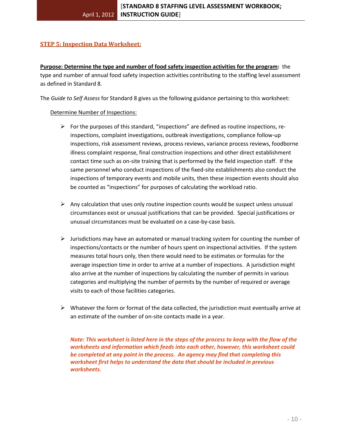# <span id="page-9-0"></span>**STEP 5: Inspection Data Worksheet:**

**Purpose: Determine the type and number of food safety inspection activities for the program:** the type and number of annual food safety inspection activities contributing to the staffing level assessment as defined in Standard 8.

The *Guide to Self Assess* for Standard 8 gives us the following guidance pertaining to this worksheet:

#### Determine Number of Inspections:

- $\triangleright$  For the purposes of this standard, "inspections" are defined as routine inspections, reinspections, complaint investigations, outbreak investigations, compliance follow-up inspections, risk assessment reviews, process reviews, variance process reviews, foodborne illness complaint response, final construction inspections and other direct establishment contact time such as on-site training that is performed by the field inspection staff. If the same personnel who conduct inspections of the fixed-site establishments also conduct the inspections of temporary events and mobile units, then these inspection events should also be counted as "inspections" for purposes of calculating the workload ratio.
- $\triangleright$  Any calculation that uses only routine inspection counts would be suspect unless unusual circumstances exist or unusual justifications that can be provided. Special justifications or unusual circumstances must be evaluated on a case-by-case basis.
- $\triangleright$  Jurisdictions may have an automated or manual tracking system for counting the number of inspections/contacts or the number of hours spent on inspectional activities. If the system measures total hours only, then there would need to be estimates or formulas for the average inspection time in order to arrive at a number of inspections. A jurisdiction might also arrive at the number of inspections by calculating the number of permits in various categories and multiplying the number of permits by the number of required or average visits to each of those facilities categories.
- $\triangleright$  Whatever the form or format of the data collected, the jurisdiction must eventually arrive at an estimate of the number of on-site contacts made in a year.

*Note: This worksheet is listed here in the steps of the process to keep with the flow of the worksheets and information which feeds into each other, however, this worksheet could be completed at any point in the process. An agency may find that completing this worksheet first helps to understand the data that should be included in previous worksheets.*